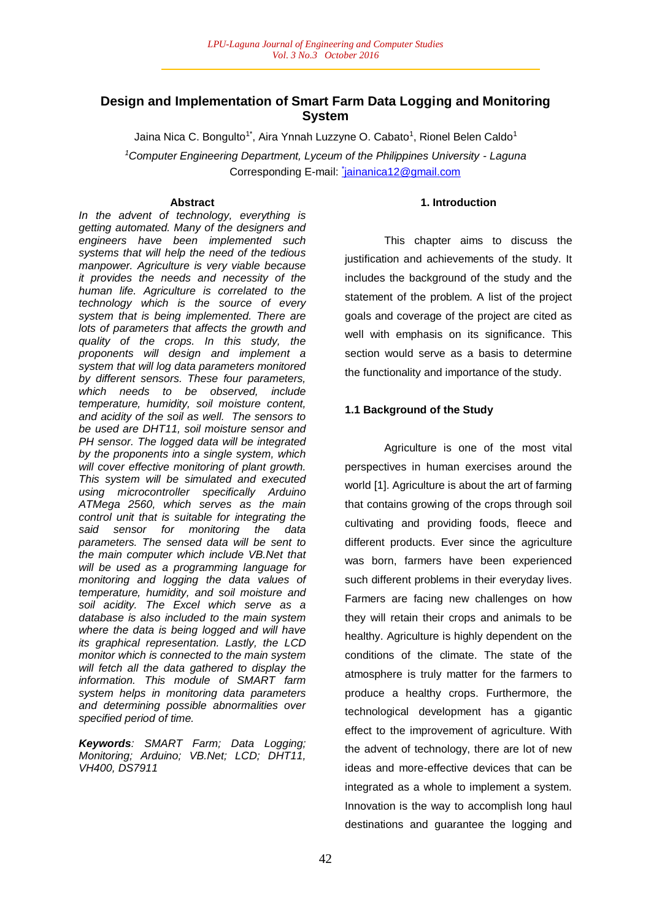# **Design and Implementation of Smart Farm Data Logging and Monitoring System**

Jaina Nica C. Bongulto<sup>1\*</sup>, Aira Ynnah Luzzyne O. Cabato<sup>1</sup>, Rionel Belen Caldo<sup>1</sup>

*<sup>1</sup>Computer Engineering Department, Lyceum of the Philippines University - Laguna* Corresponding E-mail: jainanica12@gmail.com

# **Abstract**

*In the advent of technology, everything is getting automated. Many of the designers and engineers have been implemented such systems that will help the need of the tedious manpower. Agriculture is very viable because it provides the needs and necessity of the human life. Agriculture is correlated to the technology which is the source of every system that is being implemented. There are lots of parameters that affects the growth and quality of the crops. In this study, the proponents will design and implement a system that will log data parameters monitored by different sensors. These four parameters, which needs to be observed, include temperature, humidity, soil moisture content, and acidity of the soil as well. The sensors to be used are DHT11, soil moisture sensor and PH sensor. The logged data will be integrated by the proponents into a single system, which will cover effective monitoring of plant growth. This system will be simulated and executed using microcontroller specifically Arduino ATMega 2560, which serves as the main control unit that is suitable for integrating the said sensor for monitoring the data parameters. The sensed data will be sent to the main computer which include VB.Net that will be used as a programming language for monitoring and logging the data values of temperature, humidity, and soil moisture and soil acidity. The Excel which serve as a database is also included to the main system where the data is being logged and will have its graphical representation. Lastly, the LCD monitor which is connected to the main system will fetch all the data gathered to display the information. This module of SMART farm system helps in monitoring data parameters and determining possible abnormalities over specified period of time.*

*Keywords: SMART Farm; Data Logging; Monitoring; Arduino; VB.Net; LCD; DHT11, VH400, DS7911*

# **1. Introduction**

This chapter aims to discuss the justification and achievements of the study. It includes the background of the study and the statement of the problem. A list of the project goals and coverage of the project are cited as well with emphasis on its significance. This section would serve as a basis to determine the functionality and importance of the study.

# **1.1 Background of the Study**

Agriculture is one of the most vital perspectives in human exercises around the world [1]. Agriculture is about the art of farming that contains growing of the crops through soil cultivating and providing foods, fleece and different products. Ever since the agriculture was born, farmers have been experienced such different problems in their everyday lives. Farmers are facing new challenges on how they will retain their crops and animals to be healthy. Agriculture is highly dependent on the conditions of the climate. The state of the atmosphere is truly matter for the farmers to produce a healthy crops. Furthermore, the technological development has a gigantic effect to the improvement of agriculture. With the advent of technology, there are lot of new ideas and more-effective devices that can be integrated as a whole to implement a system. Innovation is the way to accomplish long haul destinations and guarantee the logging and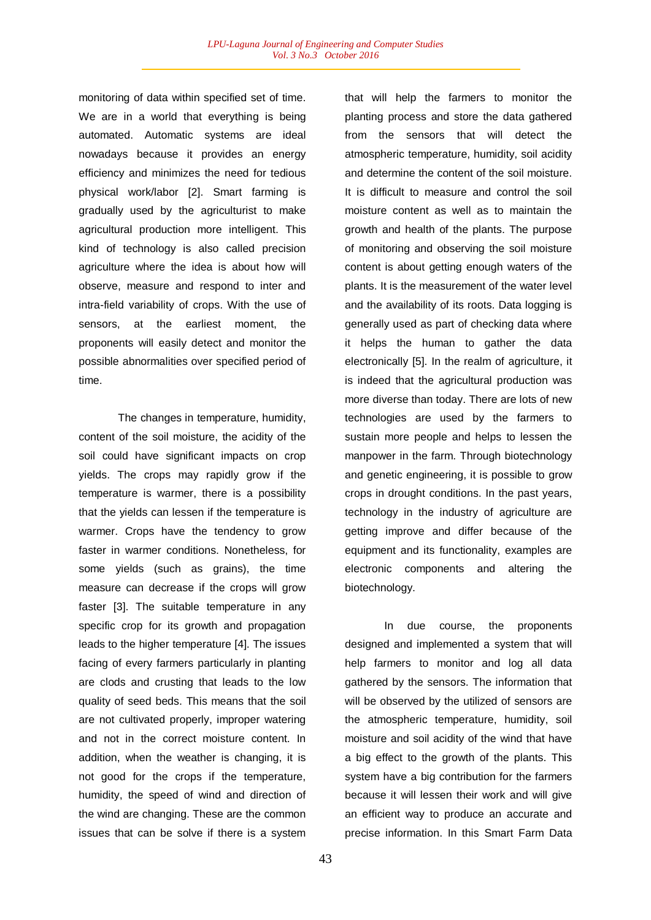monitoring of data within specified set of time. We are in a world that everything is being automated. Automatic systems are ideal nowadays because it provides an energy efficiency and minimizes the need for tedious physical work/labor [2]. Smart farming is gradually used by the agriculturist to make agricultural production more intelligent. This kind of technology is also called precision agriculture where the idea is about how will observe, measure and respond to inter and intra-field variability of crops. With the use of sensors, at the earliest moment, the proponents will easily detect and monitor the possible abnormalities over specified period of time.

The changes in temperature, humidity, content of the soil moisture, the acidity of the soil could have significant impacts on crop yields. The crops may rapidly grow if the temperature is warmer, there is a possibility that the yields can lessen if the temperature is warmer. Crops have the tendency to grow faster in warmer conditions. Nonetheless, for some yields (such as grains), the time measure can decrease if the crops will grow faster [3]. The suitable temperature in any specific crop for its growth and propagation leads to the higher temperature [4]. The issues facing of every farmers particularly in planting are clods and crusting that leads to the low quality of seed beds. This means that the soil are not cultivated properly, improper watering and not in the correct moisture content. In addition, when the weather is changing, it is not good for the crops if the temperature, humidity, the speed of wind and direction of the wind are changing. These are the common issues that can be solve if there is a system

that will help the farmers to monitor the planting process and store the data gathered from the sensors that will detect the atmospheric temperature, humidity, soil acidity and determine the content of the soil moisture. It is difficult to measure and control the soil moisture content as well as to maintain the growth and health of the plants. The purpose of monitoring and observing the soil moisture content is about getting enough waters of the plants. It is the measurement of the water level and the availability of its roots. Data logging is generally used as part of checking data where it helps the human to gather the data electronically [5]. In the realm of agriculture, it is indeed that the agricultural production was more diverse than today. There are lots of new technologies are used by the farmers to sustain more people and helps to lessen the manpower in the farm. Through biotechnology and genetic engineering, it is possible to grow crops in drought conditions. In the past years, technology in the industry of agriculture are getting improve and differ because of the equipment and its functionality, examples are electronic components and altering the biotechnology.

In due course, the proponents designed and implemented a system that will help farmers to monitor and log all data gathered by the sensors. The information that will be observed by the utilized of sensors are the atmospheric temperature, humidity, soil moisture and soil acidity of the wind that have a big effect to the growth of the plants. This system have a big contribution for the farmers because it will lessen their work and will give an efficient way to produce an accurate and precise information. In this Smart Farm Data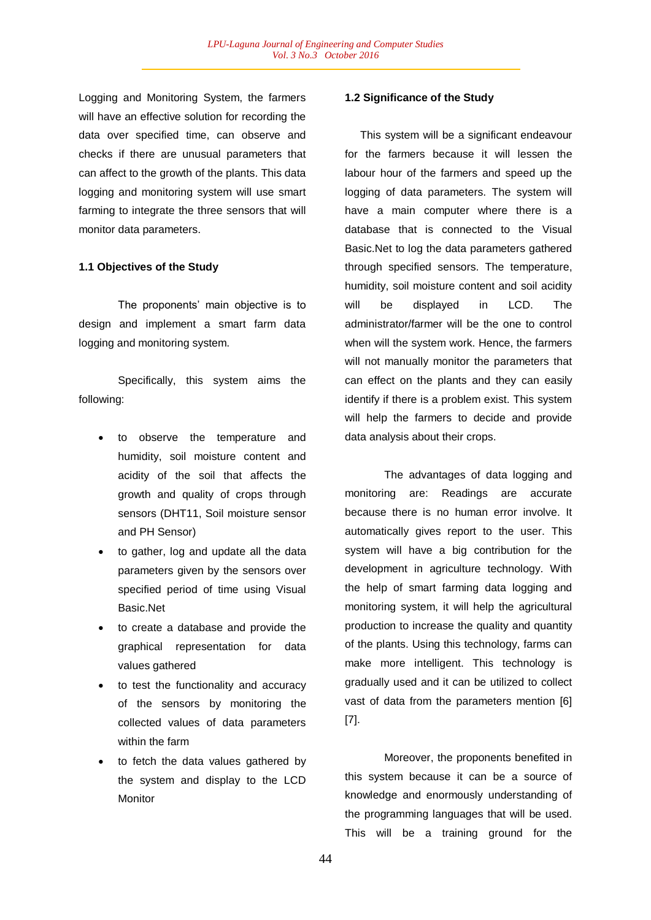Logging and Monitoring System, the farmers will have an effective solution for recording the data over specified time, can observe and checks if there are unusual parameters that can affect to the growth of the plants. This data logging and monitoring system will use smart farming to integrate the three sensors that will monitor data parameters.

### **1.1 Objectives of the Study**

The proponents' main objective is to design and implement a smart farm data logging and monitoring system.

Specifically, this system aims the following:

- to observe the temperature and humidity, soil moisture content and acidity of the soil that affects the growth and quality of crops through sensors (DHT11, Soil moisture sensor and PH Sensor)
- to gather, log and update all the data parameters given by the sensors over specified period of time using Visual Basic.Net
- to create a database and provide the graphical representation for data values gathered
- to test the functionality and accuracy of the sensors by monitoring the collected values of data parameters within the farm
- to fetch the data values gathered by the system and display to the LCD **Monitor**

# **1.2 Significance of the Study**

 This system will be a significant endeavour for the farmers because it will lessen the labour hour of the farmers and speed up the logging of data parameters. The system will have a main computer where there is a database that is connected to the Visual Basic.Net to log the data parameters gathered through specified sensors. The temperature, humidity, soil moisture content and soil acidity will be displayed in LCD. The administrator/farmer will be the one to control when will the system work. Hence, the farmers will not manually monitor the parameters that can effect on the plants and they can easily identify if there is a problem exist. This system will help the farmers to decide and provide data analysis about their crops.

The advantages of data logging and monitoring are: Readings are accurate because there is no human error involve. It automatically gives report to the user. This system will have a big contribution for the development in agriculture technology. With the help of smart farming data logging and monitoring system, it will help the agricultural production to increase the quality and quantity of the plants. Using this technology, farms can make more intelligent. This technology is gradually used and it can be utilized to collect vast of data from the parameters mention [6] [7].

Moreover, the proponents benefited in this system because it can be a source of knowledge and enormously understanding of the programming languages that will be used. This will be a training ground for the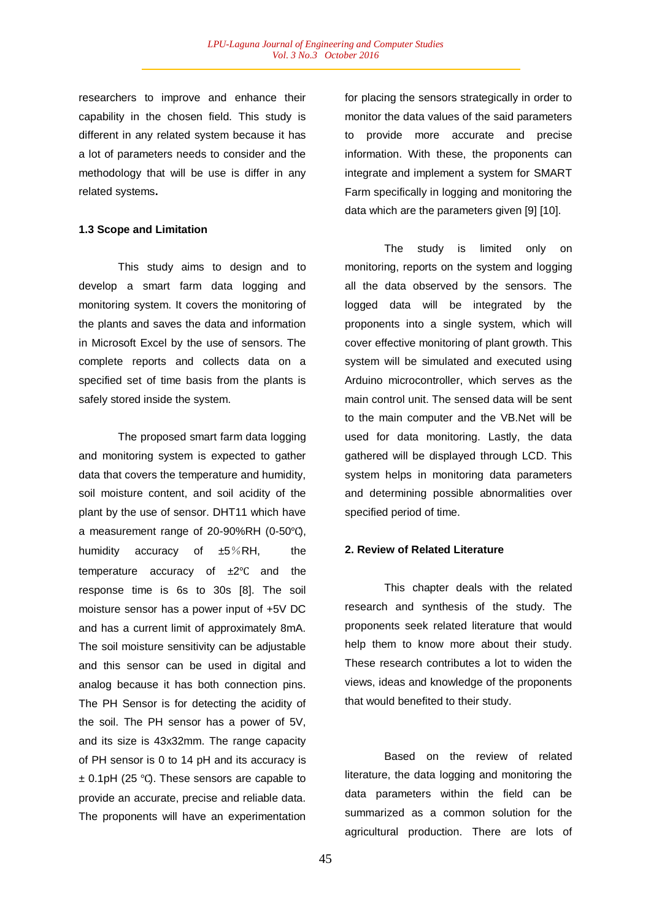researchers to improve and enhance their capability in the chosen field. This study is different in any related system because it has a lot of parameters needs to consider and the methodology that will be use is differ in any related systems**.** 

## **1.3 Scope and Limitation**

This study aims to design and to develop a smart farm data logging and monitoring system. It covers the monitoring of the plants and saves the data and information in Microsoft Excel by the use of sensors. The complete reports and collects data on a specified set of time basis from the plants is safely stored inside the system.

The proposed smart farm data logging and monitoring system is expected to gather data that covers the temperature and humidity, soil moisture content, and soil acidity of the plant by the use of sensor. DHT11 which have a measurement range of 20-90%RH (0-50℃), humidity accuracy of  $\pm 5\%RH$ , the temperature accuracy of ±2℃ and the response time is 6s to 30s [8]. The soil moisture sensor has a power input of +5V DC and has a current limit of approximately 8mA. The soil moisture sensitivity can be adjustable and this sensor can be used in digital and analog because it has both connection pins. The PH Sensor is for detecting the acidity of the soil. The PH sensor has a power of 5V, and its size is 43x32mm. The range capacity of PH sensor is 0 to 14 pH and its accuracy is ± 0.1pH (25 ℃). These sensors are capable to provide an accurate, precise and reliable data. The proponents will have an experimentation

for placing the sensors strategically in order to monitor the data values of the said parameters to provide more accurate and precise information. With these, the proponents can integrate and implement a system for SMART Farm specifically in logging and monitoring the data which are the parameters given [9] [10].

The study is limited only on monitoring, reports on the system and logging all the data observed by the sensors. The logged data will be integrated by the proponents into a single system, which will cover effective monitoring of plant growth. This system will be simulated and executed using Arduino microcontroller, which serves as the main control unit. The sensed data will be sent to the main computer and the VB.Net will be used for data monitoring. Lastly, the data gathered will be displayed through LCD. This system helps in monitoring data parameters and determining possible abnormalities over specified period of time.

### **2. Review of Related Literature**

This chapter deals with the related research and synthesis of the study. The proponents seek related literature that would help them to know more about their study. These research contributes a lot to widen the views, ideas and knowledge of the proponents that would benefited to their study.

Based on the review of related literature, the data logging and monitoring the data parameters within the field can be summarized as a common solution for the agricultural production. There are lots of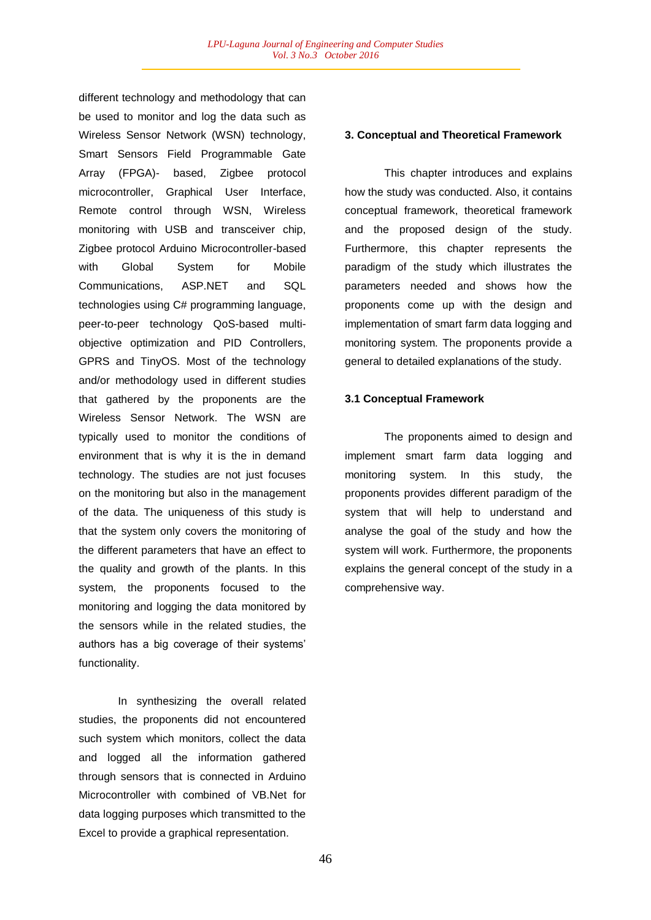different technology and methodology that can be used to monitor and log the data such as Wireless Sensor Network (WSN) technology, Smart Sensors Field Programmable Gate Array (FPGA)- based, Zigbee protocol microcontroller, Graphical User Interface, Remote control through WSN, Wireless monitoring with USB and transceiver chip, Zigbee protocol Arduino Microcontroller-based with Global System for Mobile Communications, ASP.NET and SQL technologies using C# programming language, peer-to-peer technology QoS-based multiobjective optimization and PID Controllers, GPRS and TinyOS. Most of the technology and/or methodology used in different studies that gathered by the proponents are the Wireless Sensor Network. The WSN are typically used to monitor the conditions of environment that is why it is the in demand technology. The studies are not just focuses on the monitoring but also in the management of the data. The uniqueness of this study is that the system only covers the monitoring of the different parameters that have an effect to the quality and growth of the plants. In this system, the proponents focused to the monitoring and logging the data monitored by the sensors while in the related studies, the authors has a big coverage of their systems' functionality.

In synthesizing the overall related studies, the proponents did not encountered such system which monitors, collect the data and logged all the information gathered through sensors that is connected in Arduino Microcontroller with combined of VB.Net for data logging purposes which transmitted to the Excel to provide a graphical representation.

#### **3. Conceptual and Theoretical Framework**

This chapter introduces and explains how the study was conducted. Also, it contains conceptual framework, theoretical framework and the proposed design of the study. Furthermore, this chapter represents the paradigm of the study which illustrates the parameters needed and shows how the proponents come up with the design and implementation of smart farm data logging and monitoring system. The proponents provide a general to detailed explanations of the study.

#### **3.1 Conceptual Framework**

The proponents aimed to design and implement smart farm data logging and monitoring system. In this study, the proponents provides different paradigm of the system that will help to understand and analyse the goal of the study and how the system will work. Furthermore, the proponents explains the general concept of the study in a comprehensive way.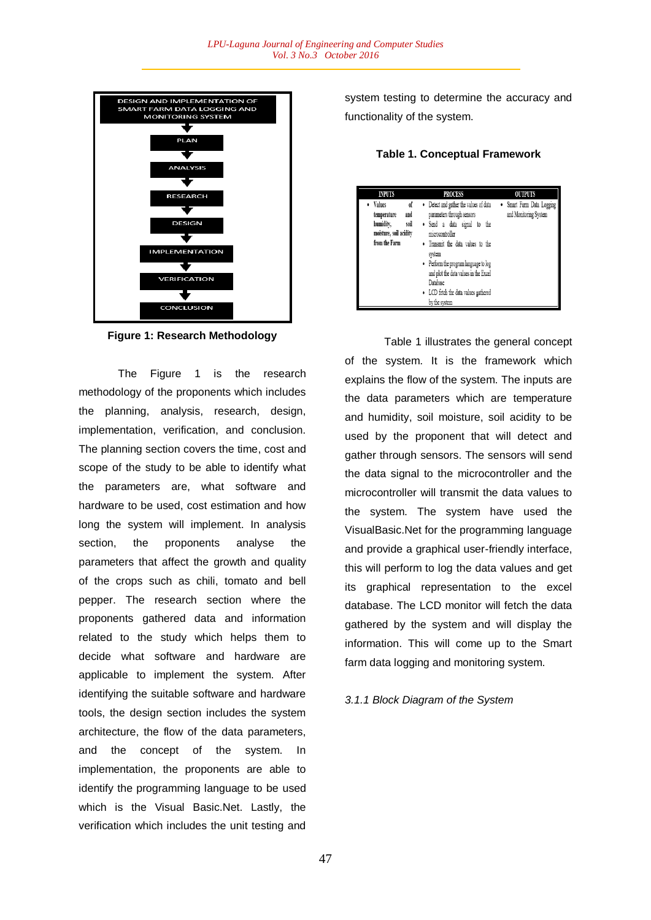

**Figure 1: Research Methodology**

The Figure 1 is the research methodology of the proponents which includes the planning, analysis, research, design, implementation, verification, and conclusion. The planning section covers the time, cost and scope of the study to be able to identify what the parameters are, what software and hardware to be used, cost estimation and how long the system will implement. In analysis section, the proponents analyse the parameters that affect the growth and quality of the crops such as chili, tomato and bell pepper. The research section where the proponents gathered data and information related to the study which helps them to decide what software and hardware are applicable to implement the system. After identifying the suitable software and hardware tools, the design section includes the system architecture, the flow of the data parameters, and the concept of the system. In implementation, the proponents are able to identify the programming language to be used which is the Visual Basic.Net. Lastly, the verification which includes the unit testing and

system testing to determine the accuracy and functionality of the system.

**Table 1. Conceptual Framework**

| <b>INPUTS</b>                                                                                        | <b>PROCESS</b>                                                                                                                                                                                                                                                                                                               | <b>OUTPUTS</b>                                     |  |  |  |  |
|------------------------------------------------------------------------------------------------------|------------------------------------------------------------------------------------------------------------------------------------------------------------------------------------------------------------------------------------------------------------------------------------------------------------------------------|----------------------------------------------------|--|--|--|--|
| • Values<br>of<br>and<br>temperature<br>humidity,<br>soil<br>moisture, soil acidity<br>from the Farm | • Detect and gather the values of data<br>parameters through sensors<br>· Send a data signal to the<br>microcontroller<br>• Transmit the data values to the<br>system<br>• Perform the program language to log<br>and plot the data values in the Excel<br>Database<br>• LCD fetch the data values gathered<br>by the system | • Smart Farm Data Logging<br>and Monitoring System |  |  |  |  |

Table 1 illustrates the general concept of the system. It is the framework which explains the flow of the system. The inputs are the data parameters which are temperature and humidity, soil moisture, soil acidity to be used by the proponent that will detect and gather through sensors. The sensors will send the data signal to the microcontroller and the microcontroller will transmit the data values to the system. The system have used the VisualBasic.Net for the programming language and provide a graphical user-friendly interface, this will perform to log the data values and get its graphical representation to the excel database. The LCD monitor will fetch the data gathered by the system and will display the information. This will come up to the Smart farm data logging and monitoring system.

### *3.1.1 Block Diagram of the System*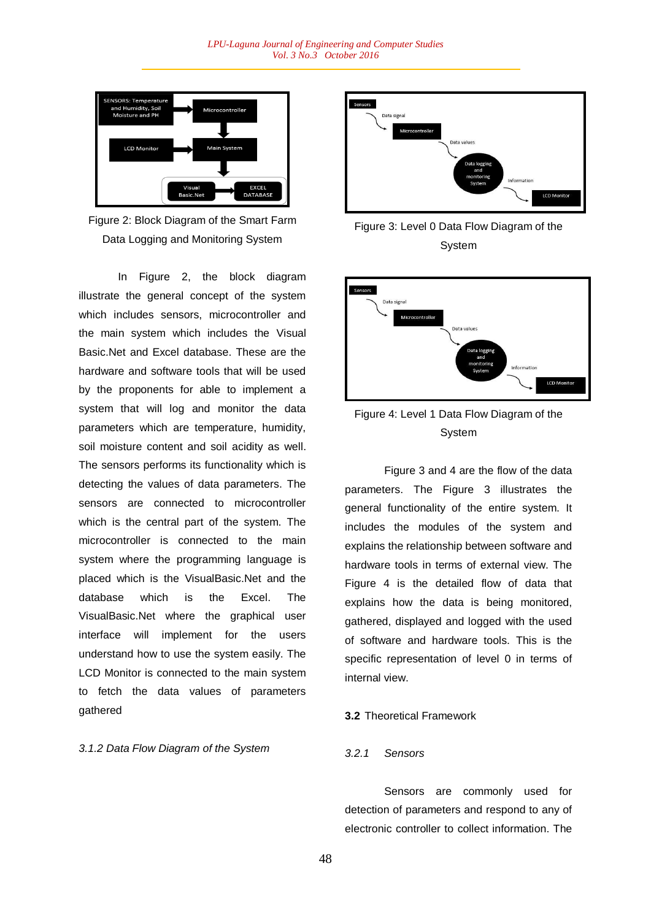

Figure 2: Block Diagram of the Smart Farm Data Logging and Monitoring System

In Figure 2, the block diagram illustrate the general concept of the system which includes sensors, microcontroller and the main system which includes the Visual Basic.Net and Excel database. These are the hardware and software tools that will be used by the proponents for able to implement a system that will log and monitor the data parameters which are temperature, humidity, soil moisture content and soil acidity as well. The sensors performs its functionality which is detecting the values of data parameters. The sensors are connected to microcontroller which is the central part of the system. The microcontroller is connected to the main system where the programming language is placed which is the VisualBasic.Net and the database which is the Excel. The VisualBasic.Net where the graphical user interface will implement for the users understand how to use the system easily. The LCD Monitor is connected to the main system to fetch the data values of parameters gathered

# *3.1.2 Data Flow Diagram of the System*



Figure 3: Level 0 Data Flow Diagram of the System



Figure 4: Level 1 Data Flow Diagram of the System

Figure 3 and 4 are the flow of the data parameters. The Figure 3 illustrates the general functionality of the entire system. It includes the modules of the system and explains the relationship between software and hardware tools in terms of external view. The Figure 4 is the detailed flow of data that explains how the data is being monitored, gathered, displayed and logged with the used of software and hardware tools. This is the specific representation of level 0 in terms of internal view.

#### **3.2** Theoretical Framework

#### *3.2.1 Sensors*

Sensors are commonly used for detection of parameters and respond to any of electronic controller to collect information. The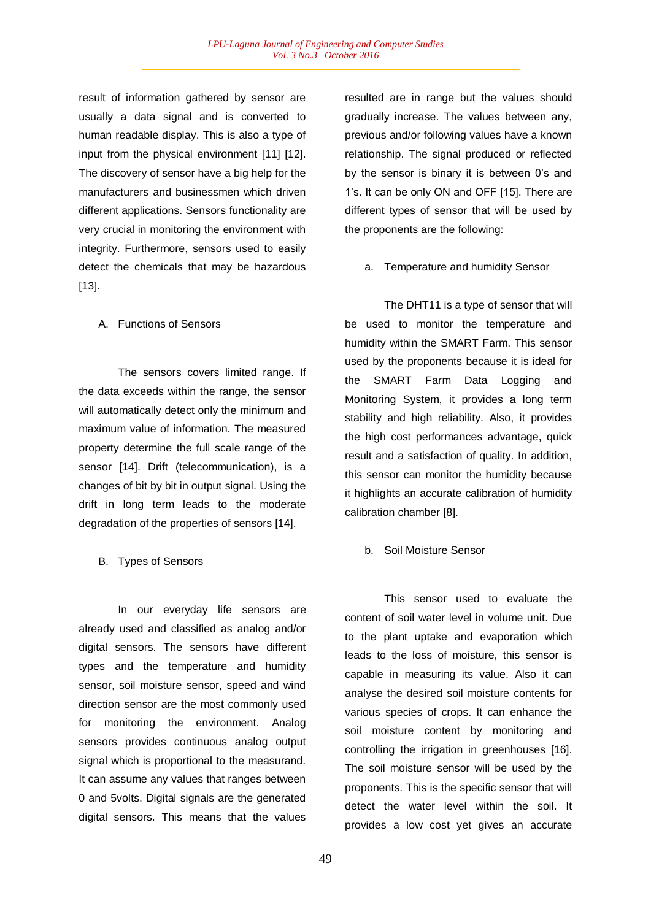result of information gathered by sensor are usually a data signal and is converted to human readable display. This is also a type of input from the physical environment [11] [12]. The discovery of sensor have a big help for the manufacturers and businessmen which driven different applications. Sensors functionality are very crucial in monitoring the environment with integrity. Furthermore, sensors used to easily detect the chemicals that may be hazardous [13].

### A. Functions of Sensors

The sensors covers limited range. If the data exceeds within the range, the sensor will automatically detect only the minimum and maximum value of information. The measured property determine the full scale range of the sensor [14]. Drift (telecommunication), is a changes of bit by bit in output signal. Using the drift in long term leads to the moderate degradation of the properties of sensors [14].

# B. Types of Sensors

In our everyday life sensors are already used and classified as analog and/or digital sensors. The sensors have different types and the temperature and humidity sensor, soil moisture sensor, speed and wind direction sensor are the most commonly used for monitoring the environment. Analog sensors provides continuous analog output signal which is proportional to the measurand. It can assume any values that ranges between 0 and 5volts. Digital signals are the generated digital sensors. This means that the values

resulted are in range but the values should gradually increase. The values between any, previous and/or following values have a known relationship. The signal produced or reflected by the sensor is binary it is between 0's and 1's. It can be only ON and OFF [15]. There are different types of sensor that will be used by the proponents are the following:

a. Temperature and humidity Sensor

The DHT11 is a type of sensor that will be used to monitor the temperature and humidity within the SMART Farm. This sensor used by the proponents because it is ideal for the SMART Farm Data Logging and Monitoring System, it provides a long term stability and high reliability. Also, it provides the high cost performances advantage, quick result and a satisfaction of quality. In addition, this sensor can monitor the humidity because it highlights an accurate calibration of humidity calibration chamber [8].

# b. Soil Moisture Sensor

This sensor used to evaluate the content of soil water level in volume unit. Due to the plant uptake and evaporation which leads to the loss of moisture, this sensor is capable in measuring its value. Also it can analyse the desired soil moisture contents for various species of crops. It can enhance the soil moisture content by monitoring and controlling the irrigation in greenhouses [16]. The soil moisture sensor will be used by the proponents. This is the specific sensor that will detect the water level within the soil. It provides a low cost yet gives an accurate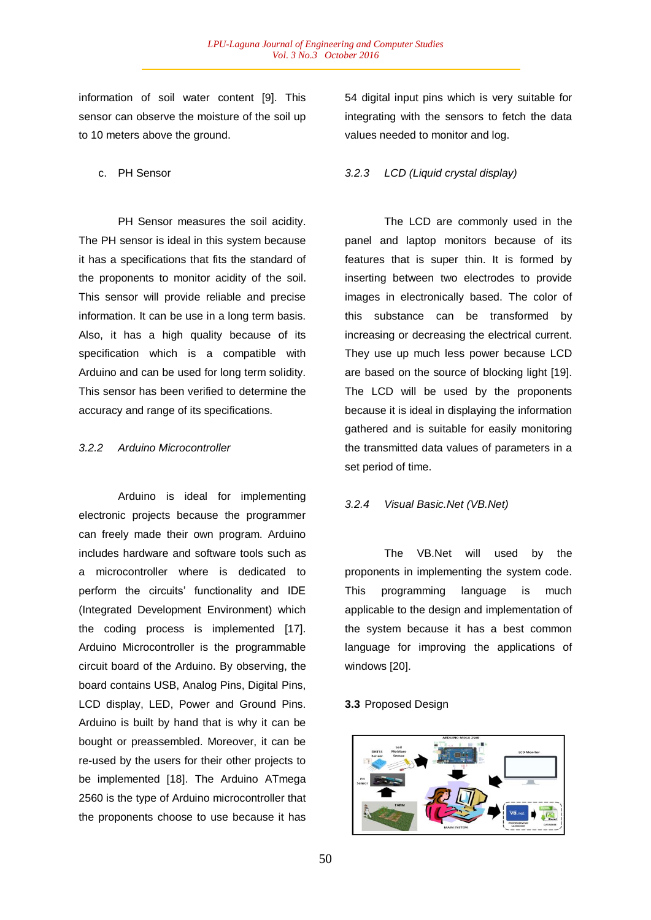information of soil water content [9]. This sensor can observe the moisture of the soil up to 10 meters above the ground.

c. PH Sensor

PH Sensor measures the soil acidity. The PH sensor is ideal in this system because it has a specifications that fits the standard of the proponents to monitor acidity of the soil. This sensor will provide reliable and precise information. It can be use in a long term basis. Also, it has a high quality because of its specification which is a compatible with Arduino and can be used for long term solidity. This sensor has been verified to determine the accuracy and range of its specifications.

# *3.2.2 Arduino Microcontroller*

Arduino is ideal for implementing electronic projects because the programmer can freely made their own program. Arduino includes hardware and software tools such as a microcontroller where is dedicated to perform the circuits' functionality and IDE (Integrated Development Environment) which the coding process is implemented [17]. Arduino Microcontroller is the programmable circuit board of the Arduino. By observing, the board contains USB, Analog Pins, Digital Pins, LCD display, LED, Power and Ground Pins. Arduino is built by hand that is why it can be bought or preassembled. Moreover, it can be re-used by the users for their other projects to be implemented [18]. The Arduino ATmega 2560 is the type of Arduino microcontroller that the proponents choose to use because it has

54 digital input pins which is very suitable for integrating with the sensors to fetch the data values needed to monitor and log.

# *3.2.3 LCD (Liquid crystal display)*

The LCD are commonly used in the panel and laptop monitors because of its features that is super thin. It is formed by inserting between two electrodes to provide images in electronically based. The color of this substance can be transformed by increasing or decreasing the electrical current. They use up much less power because LCD are based on the source of blocking light [19]. The LCD will be used by the proponents because it is ideal in displaying the information gathered and is suitable for easily monitoring the transmitted data values of parameters in a set period of time.

### *3.2.4 Visual Basic.Net (VB.Net)*

The VB.Net will used by the proponents in implementing the system code. This programming language is much applicable to the design and implementation of the system because it has a best common language for improving the applications of windows [20].

# **3.3** Proposed Design

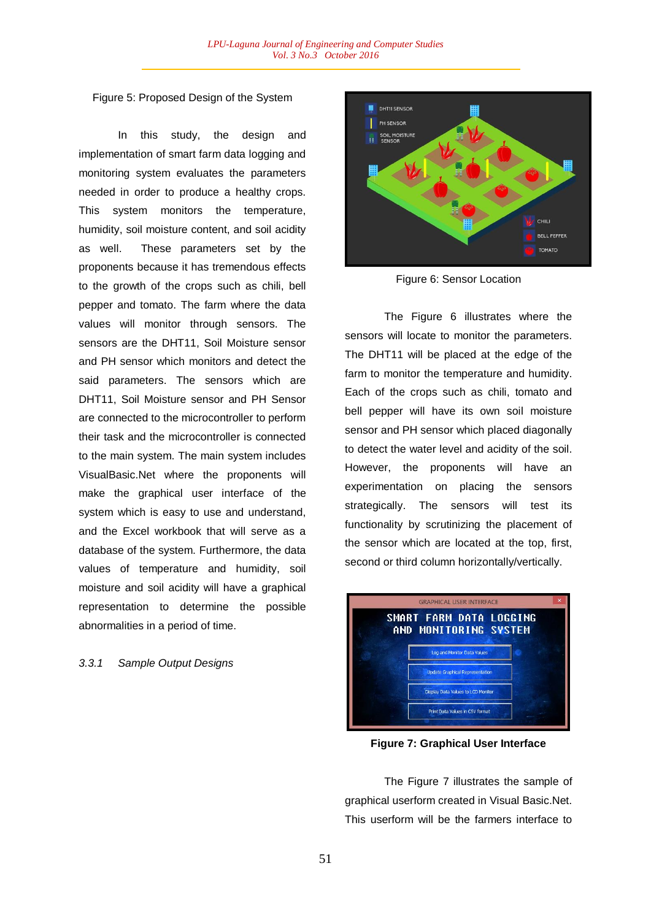# Figure 5: Proposed Design of the System

In this study, the design and implementation of smart farm data logging and monitoring system evaluates the parameters needed in order to produce a healthy crops. This system monitors the temperature, humidity, soil moisture content, and soil acidity as well. These parameters set by the proponents because it has tremendous effects to the growth of the crops such as chili, bell pepper and tomato. The farm where the data values will monitor through sensors. The sensors are the DHT11, Soil Moisture sensor and PH sensor which monitors and detect the said parameters. The sensors which are DHT11, Soil Moisture sensor and PH Sensor are connected to the microcontroller to perform their task and the microcontroller is connected to the main system. The main system includes VisualBasic.Net where the proponents will make the graphical user interface of the system which is easy to use and understand, and the Excel workbook that will serve as a database of the system. Furthermore, the data values of temperature and humidity, soil moisture and soil acidity will have a graphical representation to determine the possible abnormalities in a period of time.

## *3.3.1 Sample Output Designs*



Figure 6: Sensor Location

The Figure 6 illustrates where the sensors will locate to monitor the parameters. The DHT11 will be placed at the edge of the farm to monitor the temperature and humidity. Each of the crops such as chili, tomato and bell pepper will have its own soil moisture sensor and PH sensor which placed diagonally to detect the water level and acidity of the soil. However, the proponents will have an experimentation on placing the sensors strategically. The sensors will test its functionality by scrutinizing the placement of the sensor which are located at the top, first, second or third column horizontally/vertically.



**Figure 7: Graphical User Interface**

The Figure 7 illustrates the sample of graphical userform created in Visual Basic.Net. This userform will be the farmers interface to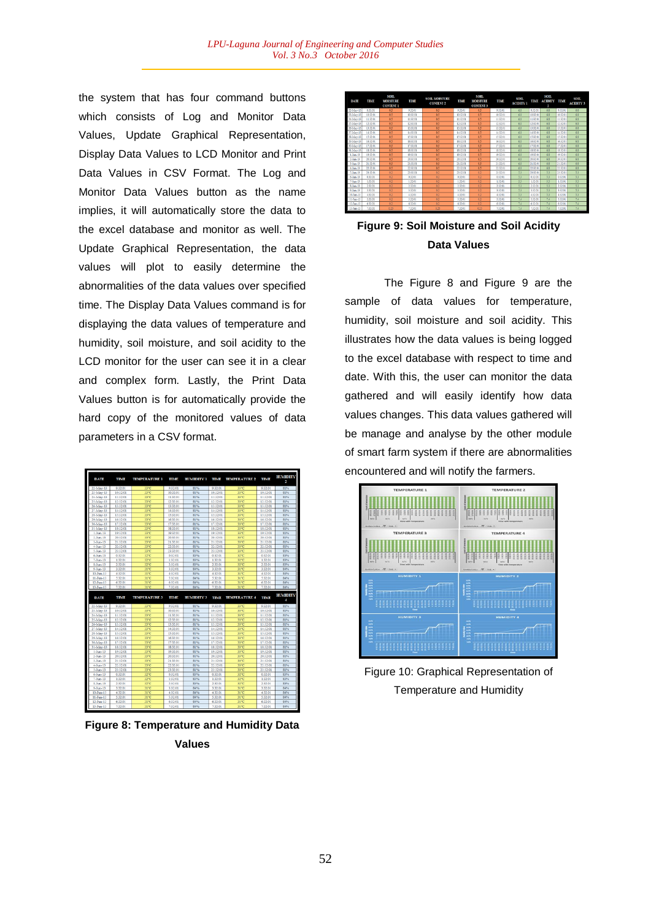the system that has four command buttons which consists of Log and Monitor Data Values, Update Graphical Representation, Display Data Values to LCD Monitor and Print Data Values in CSV Format. The Log and Monitor Data Values button as the name implies, it will automatically store the data to the excel database and monitor as well. The Update Graphical Representation, the data values will plot to easily determine the abnormalities of the data values over specified time. The Display Data Values command is for displaying the data values of temperature and humidity, soil moisture, and soil acidity to the LCD monitor for the user can see it in a clear and complex form. Lastly, the Print Data Values button is for automatically provide the hard copy of the monitored values of data parameters in a CSV format.



**Figure 8: Temperature and Humidity Data Values**

| <b>DATE</b> | TIME     | <b>SOIL</b><br><b>MOISTURE</b><br><b>CONTENT 1</b> | TIME     | <b>SOIL MOISTURE</b><br><b>CONTENT?</b> | TIME      | SOIL<br><b>MOISTURE</b><br><b>CONTENT 3</b> | <b>TIME</b>   | <b>SOIL</b><br><b>ACIDITY 1</b> | TIME      | <b>SOIL</b><br><b>ACIDITY</b><br>2 | TIME          | <b>SOIL</b><br><b>ACIDITY 3</b> |
|-------------|----------|----------------------------------------------------|----------|-----------------------------------------|-----------|---------------------------------------------|---------------|---------------------------------|-----------|------------------------------------|---------------|---------------------------------|
| 22-May-13   | 9.32.01  | 0.1                                                | 9:32:01  | 0.5                                     | 9:32:01   | 0.5                                         | 9:32:01       | 65                              | 9:32:01   | 系数                                 | 9.32.01       | 68                              |
| 23-May-13   | 10-37-01 | 05                                                 | 10:32:01 | 05                                      | 10-37-01  | 05                                          | 10:32:01      | 68                              | 10:32:01  | 68                                 | 10-33-01      | 68                              |
| 24.May.13   | 11:32:01 | 0.5                                                | 11:32:00 | 0.5                                     | 11:32:01  | 0.5                                         | 11:32:01      | 6.2                             | 11:32:01  | 6.8                                | 11:32:01      | 6.8                             |
| 25-May-13   | 12:32:01 | 0.5                                                | 12:32:00 | 0.5                                     | 12:32:01  | 0.5                                         | 12:32:01      | 6.5                             | 12:32:01  | 6.8                                | 12:32:01      | 68                              |
| 26.May-13   | 13:32:01 | 0.5                                                | 13:32:00 | 0.5                                     | 13:32:01  | 0.5                                         | 13:32:01      | 6.5                             | 13:32:01  | 6.8                                | 13:32:01      | 6.8                             |
| 27-May-13   | 14:32:01 | 0.5                                                | 14:32:00 | 0.5                                     | 14:32:01  | 0.5                                         | 14:32:01      | 6.8                             | 14:32:01  | 6.8                                | 14:32:01      | 68                              |
| 28.May-13   | 15:33:00 | 0.5                                                | 15:33:00 | 0.5                                     | 15:32:01  | 0.5                                         | 15:32:01      | 68                              | 15:32:01  | 68                                 | 15:33:01      | 68                              |
| 29-May-11   | 16:32:01 | 0.5                                                | 16/12/01 | 0.5                                     | 16:12:01  | 0.5                                         | 16:12:01      | 61                              | 16:12:01  | 65                                 | 16/12/01      | 68                              |
| 30-May-13   | 17:32:01 | 0.5                                                | 17:32:01 | 05                                      | 17:32:01  | 0.5                                         | 1742-01       | 68                              | 17:32:01  | 6R                                 | 1742-01       | 68                              |
| 31-May-13   | 18:32:01 | 0.5                                                | 18:32:00 | 0.5                                     | 18:32:01  | 0.5                                         | 18:32:01      | 6.8                             | 18:32:01  | 6.8                                | 18:32:01      | 6.8                             |
| 1-Jun-13    | 19:32:01 | 0.5                                                | 19:32:00 | 0.5                                     | 19:32:01  | 05                                          | 19:32:01      | 68                              | 19:32:01  | 68                                 | 19:32:01      | 68                              |
| $2-3$ un-13 | 20:32:01 | 0.5                                                | 20:32:01 | 0.5                                     | 20:32:01  | 0.5                                         | 20:32:01      | 区类                              | 20:32:01  | 石堂                                 | 20:32:01      | 68                              |
| 3-Jun-13    | 21:32:01 | 0.5                                                | 21:32:00 | 0.5                                     | 21:32:01  | 0.5                                         | 21:32:01      | 65                              | 21:32:01  | 68                                 | 21:32:01      | 68                              |
| 4.5m.13     | 22-32-01 | 05                                                 | 22:32:01 | 05                                      | 22:32:01  | 05                                          | 22-33-01      | 68                              | 22-32-01  | 68                                 | 22-33-01      | 68                              |
| 5.3m-13     | 23:32:01 | 0.2                                                | 23:32:00 | 0.2                                     | 23:32:01  | 0.2                                         | 23:32:01      | 5.3                             | 23:32:01  | 5.3                                | 23:32:0       | 5.3                             |
| 6-Jun-13    | 0.32.01  | 0.2                                                | 0.32.01  | 0.2                                     | 0:32:01   | 0.2                                         | 0:32:01       | 53                              | 0:32:01   | 53                                 | 0.32.01       | 53                              |
| 7-Jun-13    | 1:32.01  | 0.2                                                | 1:32.01  | 0.2                                     | 1:32.01   | 0.2                                         | 1:32:01       | 53                              | 1:32:01   | 53                                 | 1:32:01       | 53                              |
| 8-Jun-13    | 2:32:01  | 0.2                                                | 2:32:01  | 0.2                                     | $2-32.01$ | 0.2                                         | $2 - 32 - 01$ | 5.7                             | $2-32.01$ | 53                                 | $2 - 32 - 01$ | 53                              |
| 0.5m.17     | 1-12-01  | 0.2                                                | 3-32-01  | 0.2                                     | 23201     | 0.2                                         | $2-22-01$     | 53                              | 2-32-01   | 53                                 | 2-22-01       | 53                              |
| 10-Jun-13   | 4:32:00  | 0.2                                                | 4:32:00  | 0.2                                     | 4:32:01   | 0.2                                         | 4:12:01       | 5.1                             | 4:32:01   | 5.3                                | 4:12:01       | 5.3                             |
| 11-Jun-13   | \$32.01  | 02                                                 | \$32.01  | 0.2                                     | 532.01    | 0.2                                         | \$32.01       | 71                              | 532.01    | 74                                 | 53201         | 7.4                             |
| 12.5m.13    | 6:32:01  | 0.2                                                | 6:32:01  | 0.2                                     | 63201     | 0.2                                         | 63201         | 71                              | 63201     | 7.4                                | 63201         | 7.4                             |
| 13.5m.13    | 7-32.01  | 0.25                                               | 7-32.01  | 0.25                                    | 7-32.01   | 0.35                                        | 7-32-01       | 74                              | 7-32.01   | 74                                 | 7-32.01       | 74                              |

**Figure 9: Soil Moisture and Soil Acidity Data Values**

The Figure 8 and Figure 9 are the sample of data values for temperature, humidity, soil moisture and soil acidity. This illustrates how the data values is being logged to the excel database with respect to time and date. With this, the user can monitor the data gathered and will easily identify how data values changes. This data values gathered will be manage and analyse by the other module of smart farm system if there are abnormalities encountered and will notify the farmers.



Figure 10: Graphical Representation of Temperature and Humidity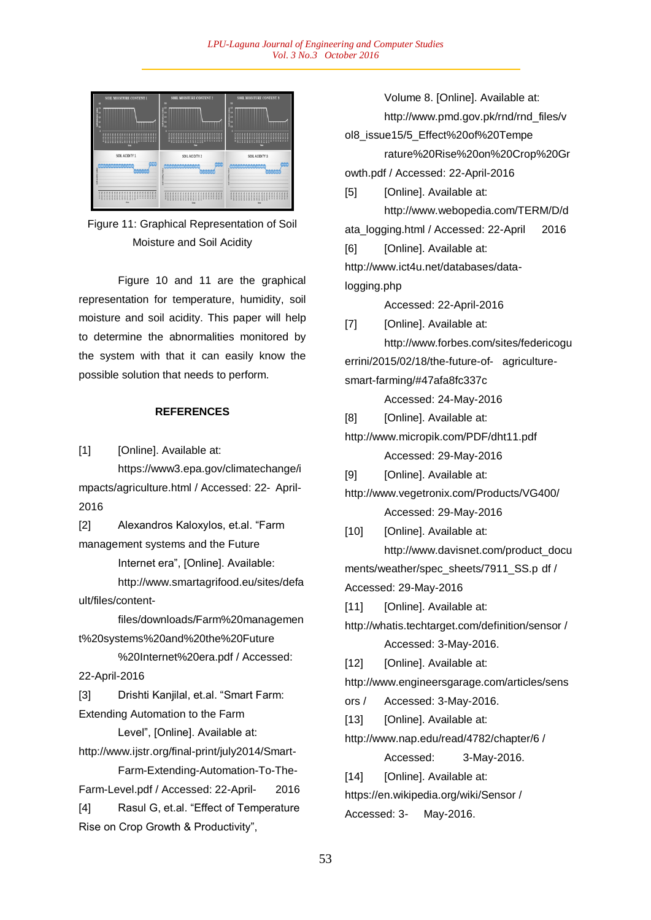

Figure 11: Graphical Representation of Soil Moisture and Soil Acidity

Figure 10 and 11 are the graphical representation for temperature, humidity, soil moisture and soil acidity. This paper will help to determine the abnormalities monitored by the system with that it can easily know the possible solution that needs to perform.

# **REFERENCES**

[1] [Online]. Available at:

https://www3.epa.gov/climatechange/i mpacts/agriculture.html / Accessed: 22- April-2016

[2] Alexandros Kaloxylos, et.al. "Farm management systems and the Future

Internet era", [Online]. Available:

http://www.smartagrifood.eu/sites/defa ult/files/content-

files/downloads/Farm%20managemen t%20systems%20and%20the%20Future

%20Internet%20era.pdf / Accessed: 22-April-2016

[3] Drishti Kanjilal, et.al. "Smart Farm: Extending Automation to the Farm

Level", [Online]. Available at:

http://www.ijstr.org/final-print/july2014/Smart-Farm-Extending-Automation-To-The-

Farm-Level.pdf / Accessed: 22-April- 2016

[4] Rasul G, et.al. "Effect of Temperature Rise on Crop Growth & Productivity",

Volume 8. [Online]. Available at: http://www.pmd.gov.pk/rnd/rnd\_files/v ol8\_issue15/5\_Effect%20of%20Tempe rature%20Rise%20on%20Crop%20Gr owth.pdf / Accessed: 22-April-2016

[5] [Online]. Available at:

http://www.webopedia.com/TERM/D/d ata\_logging.html / Accessed: 22-April 2016 [6] [Online]. Available at: http://www.ict4u.net/databases/datalogging.php

Accessed: 22-April-2016

[7] [Online]. Available at: http://www.forbes.com/sites/federicogu errini/2015/02/18/the-future-of- agriculturesmart-farming/#47afa8fc337c

Accessed: 24-May-2016

[8] [Online]. Available at:

http://www.micropik.com/PDF/dht11.pdf Accessed: 29-May-2016

[9] [Online]. Available at:

http://www.vegetronix.com/Products/VG400/ Accessed: 29-May-2016

[10] [Online]. Available at: http://www.davisnet.com/product\_docu ments/weather/spec\_sheets/7911\_SS.p df / Accessed: 29-May-2016

[11] [Online]. Available at:

http://whatis.techtarget.com/definition/sensor / Accessed: 3-May-2016.

[12] [Online]. Available at:

http://www.engineersgarage.com/articles/sens

ors / Accessed: 3-May-2016.

[13] [Online]. Available at:

http://www.nap.edu/read/4782/chapter/6 / Accessed: 3-May-2016.

[14] [Online]. Available at:

https://en.wikipedia.org/wiki/Sensor / Accessed: 3- May-2016.

53